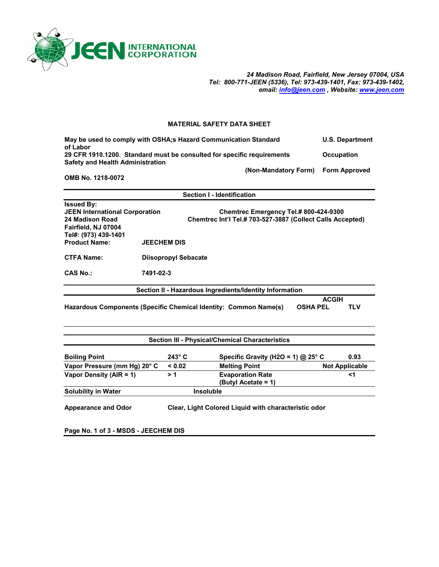

*24 Madison Road, Fairfield, New Jersey 07004, USA Tel: 800-771-JEEN (5336), Tel: 973-439-1401, Fax: 973-439-1402, email: info@jeen.com , Website: www.jeen.com*

## **MATERIAL SAFETY DATA SHEET**

| May be used to comply with OSHA; s Hazard Communication Standard       |                      | <b>U.S. Department</b> |
|------------------------------------------------------------------------|----------------------|------------------------|
| of Labor                                                               |                      |                        |
| 29 CFR 1910.1200. Standard must be consulted for specific requirements |                      | <b>Occupation</b>      |
| <b>Safety and Health Administration</b>                                |                      |                        |
|                                                                        | (Non-Mandatory Form) | <b>Form Approved</b>   |

**OMB No. 1218-0072** 

|                                                                                                      |                             | <b>Section I - Identification</b> |                                                                                                     |                 |                       |  |
|------------------------------------------------------------------------------------------------------|-----------------------------|-----------------------------------|-----------------------------------------------------------------------------------------------------|-----------------|-----------------------|--|
| <b>Issued By:</b><br><b>JEEN International Corporation</b><br>24 Madison Road<br>Fairfield, NJ 07004 |                             |                                   | Chemtrec Emergency Tel.# 800-424-9300<br>Chemtrec Int'l Tel.# 703-527-3887 (Collect Calls Accepted) |                 |                       |  |
| Tel#: (973) 439-1401<br><b>Product Name:</b>                                                         | <b>JEECHEM DIS</b>          |                                   |                                                                                                     |                 |                       |  |
|                                                                                                      |                             |                                   |                                                                                                     |                 |                       |  |
| <b>CTFA Name:</b>                                                                                    | <b>Diisopropyl Sebacate</b> |                                   |                                                                                                     |                 |                       |  |
| <b>CAS No.:</b>                                                                                      | 7491-02-3                   |                                   |                                                                                                     |                 |                       |  |
|                                                                                                      |                             |                                   | Section II - Hazardous Ingredients/Identity Information                                             |                 |                       |  |
|                                                                                                      |                             |                                   |                                                                                                     | <b>ACGIH</b>    |                       |  |
| Hazardous Components (Specific Chemical Identity: Common Name(s)                                     |                             |                                   |                                                                                                     | <b>OSHA PEL</b> | <b>TLV</b>            |  |
| <b>Section III - Physical/Chemical Characteristics</b>                                               |                             |                                   |                                                                                                     |                 |                       |  |
|                                                                                                      |                             |                                   |                                                                                                     |                 |                       |  |
| <b>Boiling Point</b>                                                                                 | $243^\circ$ C               |                                   | Specific Gravity (H2O = 1) @ 25° C                                                                  |                 | 0.93                  |  |
| Vapor Pressure (mm Hg) 20° C                                                                         | < 0.02                      |                                   | <b>Melting Point</b>                                                                                |                 | <b>Not Applicable</b> |  |
| Vapor Density ( $AIR = 1$ )                                                                          | > 1                         |                                   | <b>Evaporation Rate</b>                                                                             |                 | <1                    |  |

**Solubility in Water Insoluble** 

**Appearance and Odor Clear, Light Colored Liquid with characteristic odor** 

 **(Butyl Acetate = 1)** 

**Page No. 1 of 3 - MSDS - JEECHEM DIS**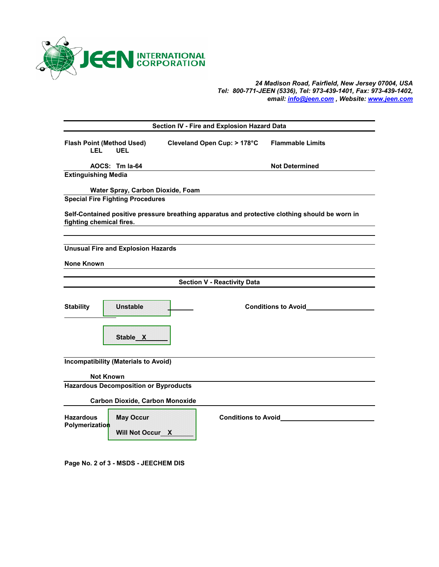

## *24 Madison Road, Fairfield, New Jersey 07004, USA Tel: 800-771-JEEN (5336), Tel: 973-439-1401, Fax: 973-439-1402, email: info@jeen.com , Website: www.jeen.com*

| Section IV - Fire and Explosion Hazard Data |                                              |  |                                    |                                                                                                |
|---------------------------------------------|----------------------------------------------|--|------------------------------------|------------------------------------------------------------------------------------------------|
| <b>Flash Point (Method Used)</b><br>LEL     | <b>UEL</b>                                   |  | Cleveland Open Cup: > 178°C        | <b>Flammable Limits</b>                                                                        |
|                                             | AOCS: Tm la-64                               |  |                                    | <b>Not Determined</b>                                                                          |
| <b>Extinguishing Media</b>                  |                                              |  |                                    |                                                                                                |
|                                             | Water Spray, Carbon Dioxide, Foam            |  |                                    |                                                                                                |
|                                             | <b>Special Fire Fighting Procedures</b>      |  |                                    |                                                                                                |
| fighting chemical fires.                    |                                              |  |                                    | Self-Contained positive pressure breathing apparatus and protective clothing should be worn in |
|                                             | <b>Unusual Fire and Explosion Hazards</b>    |  |                                    |                                                                                                |
| <b>None Known</b>                           |                                              |  |                                    |                                                                                                |
|                                             |                                              |  | <b>Section V - Reactivity Data</b> |                                                                                                |
|                                             |                                              |  |                                    |                                                                                                |
| <b>Stability</b>                            | <b>Unstable</b>                              |  |                                    |                                                                                                |
|                                             | Stable X                                     |  |                                    |                                                                                                |
|                                             | <b>Incompatibility (Materials to Avoid)</b>  |  |                                    |                                                                                                |
| <b>Not Known</b>                            |                                              |  |                                    |                                                                                                |
|                                             | <b>Hazardous Decomposition or Byproducts</b> |  |                                    |                                                                                                |
|                                             | <b>Carbon Dioxide, Carbon Monoxide</b>       |  |                                    |                                                                                                |
| <b>Hazardous</b><br>Polymerization          | <b>May Occur</b><br>Will Not Occur_X         |  |                                    |                                                                                                |

**Page No. 2 of 3 - MSDS - JEECHEM DIS**